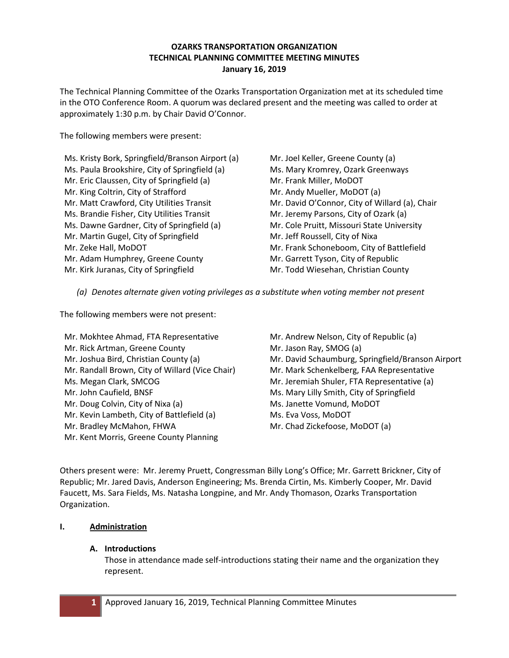### **OZARKS TRANSPORTATION ORGANIZATION TECHNICAL PLANNING COMMITTEE MEETING MINUTES January 16, 2019**

The Technical Planning Committee of the Ozarks Transportation Organization met at its scheduled time in the OTO Conference Room. A quorum was declared present and the meeting was called to order at approximately 1:30 p.m. by Chair David O'Connor.

The following members were present:

Ms. Kristy Bork, Springfield/Branson Airport (a) Ms. Paula Brookshire, City of Springfield (a) Mr. Eric Claussen, City of Springfield (a) Mr. King Coltrin, City of Strafford Mr. Matt Crawford, City Utilities Transit Ms. Brandie Fisher, City Utilities Transit Ms. Dawne Gardner, City of Springfield (a) Mr. Martin Gugel, City of Springfield Mr. Zeke Hall, MoDOT Mr. Adam Humphrey, Greene County Mr. Kirk Juranas, City of Springfield

Mr. Joel Keller, Greene County (a) Ms. Mary Kromrey, Ozark Greenways Mr. Frank Miller, MoDOT Mr. Andy Mueller, MoDOT (a) Mr. David O'Connor, City of Willard (a), Chair Mr. Jeremy Parsons, City of Ozark (a) Mr. Cole Pruitt, Missouri State University Mr. Jeff Roussell, City of Nixa Mr. Frank Schoneboom, City of Battlefield Mr. Garrett Tyson, City of Republic Mr. Todd Wiesehan, Christian County

*(a) Denotes alternate given voting privileges as a substitute when voting member not present*

The following members were not present:

Mr. Mokhtee Ahmad, FTA Representative Mr. Rick Artman, Greene County Mr. Joshua Bird, Christian County (a) Mr. Randall Brown, City of Willard (Vice Chair) Ms. Megan Clark, SMCOG Mr. John Caufield, BNSF Mr. Doug Colvin, City of Nixa (a) Mr. Kevin Lambeth, City of Battlefield (a) Mr. Bradley McMahon, FHWA Mr. Kent Morris, Greene County Planning

Mr. Andrew Nelson, City of Republic (a) Mr. Jason Ray, SMOG (a) Mr. David Schaumburg, Springfield/Branson Airport Mr. Mark Schenkelberg, FAA Representative Mr. Jeremiah Shuler, FTA Representative (a) Ms. Mary Lilly Smith, City of Springfield Ms. Janette Vomund, MoDOT Ms. Eva Voss, MoDOT Mr. Chad Zickefoose, MoDOT (a)

Others present were: Mr. Jeremy Pruett, Congressman Billy Long's Office; Mr. Garrett Brickner, City of Republic; Mr. Jared Davis, Anderson Engineering; Ms. Brenda Cirtin, Ms. Kimberly Cooper, Mr. David Faucett, Ms. Sara Fields, Ms. Natasha Longpine, and Mr. Andy Thomason, Ozarks Transportation Organization.

# **I. Administration**

### **A. Introductions**

Those in attendance made self-introductions stating their name and the organization they represent.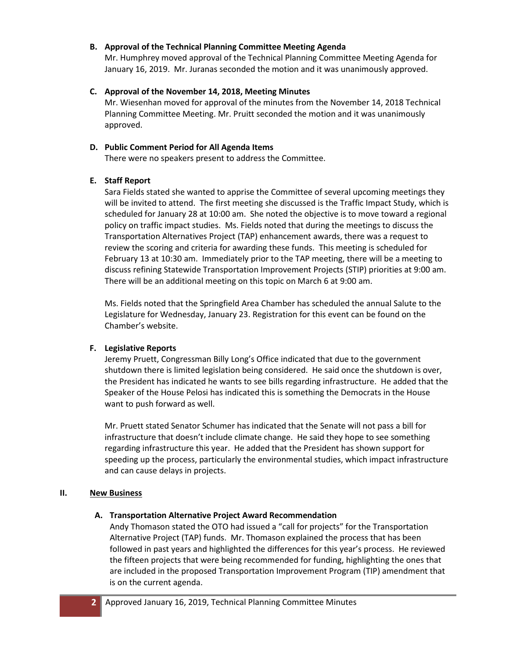### **B. Approval of the Technical Planning Committee Meeting Agenda**

Mr. Humphrey moved approval of the Technical Planning Committee Meeting Agenda for January 16, 2019. Mr. Juranas seconded the motion and it was unanimously approved.

### **C. Approval of the November 14, 2018, Meeting Minutes**

Mr. Wiesenhan moved for approval of the minutes from the November 14, 2018 Technical Planning Committee Meeting. Mr. Pruitt seconded the motion and it was unanimously approved.

### **D. Public Comment Period for All Agenda Items**

There were no speakers present to address the Committee.

# **E. Staff Report**

Sara Fields stated she wanted to apprise the Committee of several upcoming meetings they will be invited to attend. The first meeting she discussed is the Traffic Impact Study, which is scheduled for January 28 at 10:00 am. She noted the objective is to move toward a regional policy on traffic impact studies. Ms. Fields noted that during the meetings to discuss the Transportation Alternatives Project (TAP) enhancement awards, there was a request to review the scoring and criteria for awarding these funds. This meeting is scheduled for February 13 at 10:30 am. Immediately prior to the TAP meeting, there will be a meeting to discuss refining Statewide Transportation Improvement Projects (STIP) priorities at 9:00 am. There will be an additional meeting on this topic on March 6 at 9:00 am.

Ms. Fields noted that the Springfield Area Chamber has scheduled the annual Salute to the Legislature for Wednesday, January 23. Registration for this event can be found on the Chamber's website.

# **F. Legislative Reports**

Jeremy Pruett, Congressman Billy Long's Office indicated that due to the government shutdown there is limited legislation being considered. He said once the shutdown is over, the President has indicated he wants to see bills regarding infrastructure. He added that the Speaker of the House Pelosi has indicated this is something the Democrats in the House want to push forward as well.

Mr. Pruett stated Senator Schumer has indicated that the Senate will not pass a bill for infrastructure that doesn't include climate change. He said they hope to see something regarding infrastructure this year. He added that the President has shown support for speeding up the process, particularly the environmental studies, which impact infrastructure and can cause delays in projects.

# **II. New Business**

# **A. Transportation Alternative Project Award Recommendation**

Andy Thomason stated the OTO had issued a "call for projects" for the Transportation Alternative Project (TAP) funds. Mr. Thomason explained the process that has been followed in past years and highlighted the differences for this year's process. He reviewed the fifteen projects that were being recommended for funding, highlighting the ones that are included in the proposed Transportation Improvement Program (TIP) amendment that is on the current agenda.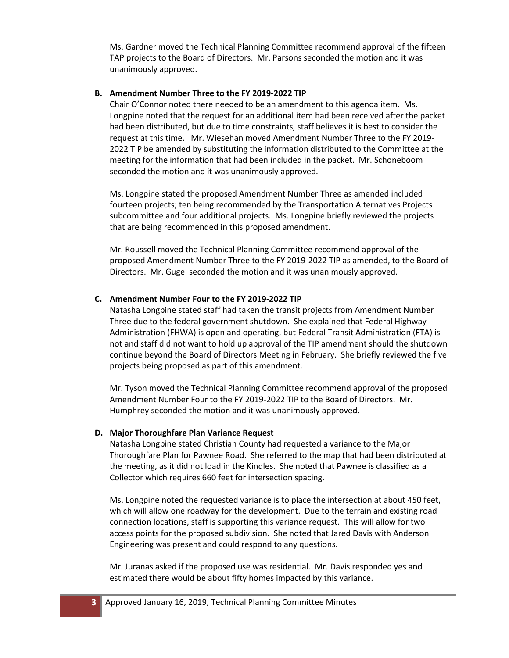Ms. Gardner moved the Technical Planning Committee recommend approval of the fifteen TAP projects to the Board of Directors. Mr. Parsons seconded the motion and it was unanimously approved.

#### **B. Amendment Number Three to the FY 2019-2022 TIP**

Chair O'Connor noted there needed to be an amendment to this agenda item. Ms. Longpine noted that the request for an additional item had been received after the packet had been distributed, but due to time constraints, staff believes it is best to consider the request at this time. Mr. Wiesehan moved Amendment Number Three to the FY 2019- 2022 TIP be amended by substituting the information distributed to the Committee at the meeting for the information that had been included in the packet. Mr. Schoneboom seconded the motion and it was unanimously approved.

Ms. Longpine stated the proposed Amendment Number Three as amended included fourteen projects; ten being recommended by the Transportation Alternatives Projects subcommittee and four additional projects. Ms. Longpine briefly reviewed the projects that are being recommended in this proposed amendment.

Mr. Roussell moved the Technical Planning Committee recommend approval of the proposed Amendment Number Three to the FY 2019-2022 TIP as amended, to the Board of Directors. Mr. Gugel seconded the motion and it was unanimously approved.

#### **C. Amendment Number Four to the FY 2019-2022 TIP**

Natasha Longpine stated staff had taken the transit projects from Amendment Number Three due to the federal government shutdown. She explained that Federal Highway Administration (FHWA) is open and operating, but Federal Transit Administration (FTA) is not and staff did not want to hold up approval of the TIP amendment should the shutdown continue beyond the Board of Directors Meeting in February. She briefly reviewed the five projects being proposed as part of this amendment.

Mr. Tyson moved the Technical Planning Committee recommend approval of the proposed Amendment Number Four to the FY 2019-2022 TIP to the Board of Directors. Mr. Humphrey seconded the motion and it was unanimously approved.

#### **D. Major Thoroughfare Plan Variance Request**

Natasha Longpine stated Christian County had requested a variance to the Major Thoroughfare Plan for Pawnee Road. She referred to the map that had been distributed at the meeting, as it did not load in the Kindles. She noted that Pawnee is classified as a Collector which requires 660 feet for intersection spacing.

Ms. Longpine noted the requested variance is to place the intersection at about 450 feet, which will allow one roadway for the development. Due to the terrain and existing road connection locations, staff is supporting this variance request. This will allow for two access points for the proposed subdivision. She noted that Jared Davis with Anderson Engineering was present and could respond to any questions.

Mr. Juranas asked if the proposed use was residential. Mr. Davis responded yes and estimated there would be about fifty homes impacted by this variance.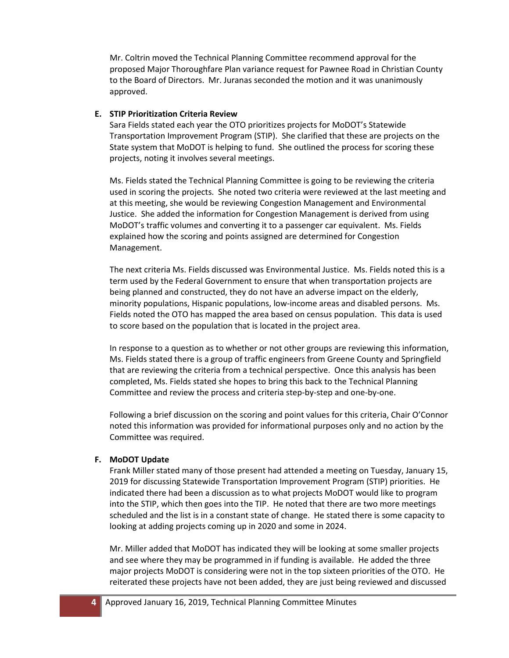Mr. Coltrin moved the Technical Planning Committee recommend approval for the proposed Major Thoroughfare Plan variance request for Pawnee Road in Christian County to the Board of Directors. Mr. Juranas seconded the motion and it was unanimously approved.

### **E. STIP Prioritization Criteria Review**

Sara Fields stated each year the OTO prioritizes projects for MoDOT's Statewide Transportation Improvement Program (STIP). She clarified that these are projects on the State system that MoDOT is helping to fund. She outlined the process for scoring these projects, noting it involves several meetings.

Ms. Fields stated the Technical Planning Committee is going to be reviewing the criteria used in scoring the projects. She noted two criteria were reviewed at the last meeting and at this meeting, she would be reviewing Congestion Management and Environmental Justice. She added the information for Congestion Management is derived from using MoDOT's traffic volumes and converting it to a passenger car equivalent. Ms. Fields explained how the scoring and points assigned are determined for Congestion Management.

The next criteria Ms. Fields discussed was Environmental Justice. Ms. Fields noted this is a term used by the Federal Government to ensure that when transportation projects are being planned and constructed, they do not have an adverse impact on the elderly, minority populations, Hispanic populations, low-income areas and disabled persons. Ms. Fields noted the OTO has mapped the area based on census population. This data is used to score based on the population that is located in the project area.

In response to a question as to whether or not other groups are reviewing this information, Ms. Fields stated there is a group of traffic engineers from Greene County and Springfield that are reviewing the criteria from a technical perspective. Once this analysis has been completed, Ms. Fields stated she hopes to bring this back to the Technical Planning Committee and review the process and criteria step-by-step and one-by-one.

Following a brief discussion on the scoring and point values for this criteria, Chair O'Connor noted this information was provided for informational purposes only and no action by the Committee was required.

### **F. MoDOT Update**

Frank Miller stated many of those present had attended a meeting on Tuesday, January 15, 2019 for discussing Statewide Transportation Improvement Program (STIP) priorities. He indicated there had been a discussion as to what projects MoDOT would like to program into the STIP, which then goes into the TIP. He noted that there are two more meetings scheduled and the list is in a constant state of change. He stated there is some capacity to looking at adding projects coming up in 2020 and some in 2024.

Mr. Miller added that MoDOT has indicated they will be looking at some smaller projects and see where they may be programmed in if funding is available. He added the three major projects MoDOT is considering were not in the top sixteen priorities of the OTO. He reiterated these projects have not been added, they are just being reviewed and discussed